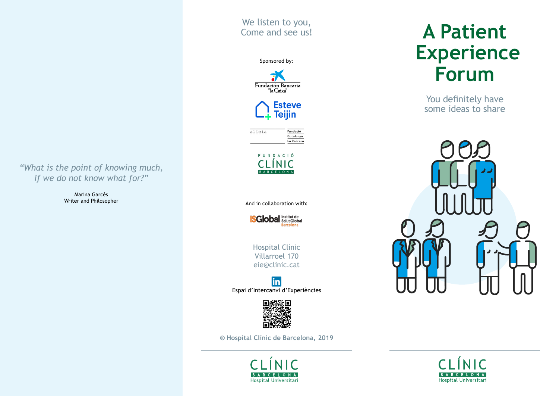*"What is the point of knowing much, if we do not know what for?"*

> Marina Garcés Writer and Philosopher









FUNDACIÓ INIC

And in collaboration with:



Hospital Clínic Villarroel 170 eie@clinic.cat





**® Hospital Clínic de Barcelona, 2019**



# **A Patient Experience Forum**

You definitely have some ideas to share